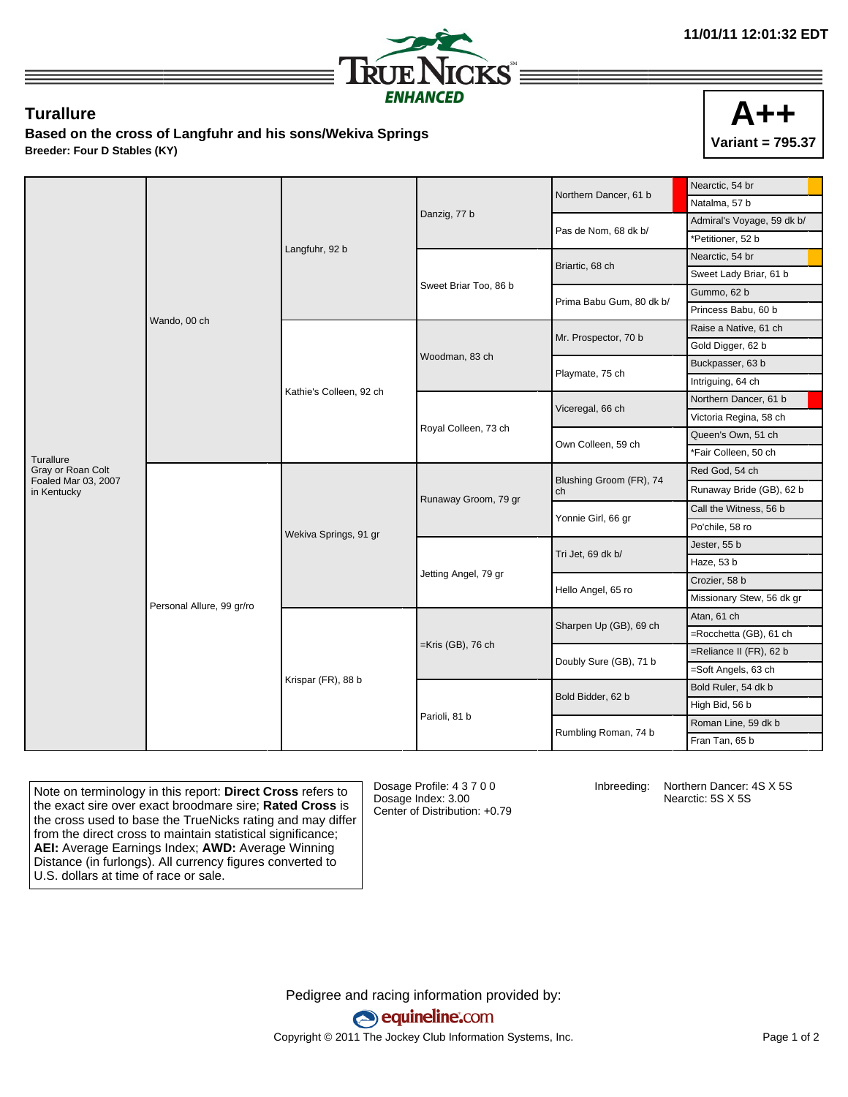

## **Turallure**

**Based on the cross of Langfuhr and his sons/Wekiva Springs Breeder: Four D Stables (KY)**



|                                          | Wando, 00 ch              |                         |                       | Northern Dancer, 61 b         | Nearctic, 54 br            |
|------------------------------------------|---------------------------|-------------------------|-----------------------|-------------------------------|----------------------------|
|                                          |                           |                         |                       |                               | Natalma, 57 b              |
|                                          |                           |                         | Danzig, 77 b          | Pas de Nom, 68 dk b/          | Admiral's Voyage, 59 dk b/ |
|                                          |                           | Langfuhr, 92 b          |                       |                               | *Petitioner, 52 b          |
|                                          |                           |                         | Sweet Briar Too, 86 b | Briartic, 68 ch               | Nearctic, 54 br            |
|                                          |                           |                         |                       |                               | Sweet Lady Briar, 61 b     |
|                                          |                           |                         |                       | Prima Babu Gum, 80 dk b/      | Gummo, 62 b                |
|                                          |                           |                         |                       |                               | Princess Babu, 60 b        |
|                                          |                           | Kathie's Colleen, 92 ch | Woodman, 83 ch        | Mr. Prospector, 70 b          | Raise a Native, 61 ch      |
|                                          |                           |                         |                       |                               | Gold Digger, 62 b          |
|                                          |                           |                         |                       | Playmate, 75 ch               | Buckpasser, 63 b           |
|                                          |                           |                         |                       |                               | Intriguing, 64 ch          |
|                                          |                           |                         | Royal Colleen, 73 ch  | Viceregal, 66 ch              | Northern Dancer, 61 b      |
|                                          |                           |                         |                       |                               | Victoria Regina, 58 ch     |
|                                          |                           |                         |                       | Own Colleen, 59 ch            | Queen's Own, 51 ch         |
| Turallure                                |                           |                         |                       |                               | *Fair Colleen, 50 ch       |
| Gray or Roan Colt<br>Foaled Mar 03, 2007 | Personal Allure, 99 gr/ro | Wekiva Springs, 91 gr   | Runaway Groom, 79 gr  | Blushing Groom (FR), 74<br>ch | Red God, 54 ch             |
| in Kentucky                              |                           |                         |                       |                               | Runaway Bride (GB), 62 b   |
|                                          |                           |                         |                       | Yonnie Girl, 66 gr            | Call the Witness, 56 b     |
|                                          |                           |                         |                       |                               | Po'chile, 58 ro            |
|                                          |                           |                         | Jetting Angel, 79 gr  | Tri Jet, 69 dk b/             | Jester, 55 b               |
|                                          |                           |                         |                       |                               | Haze, 53 b                 |
|                                          |                           |                         |                       | Hello Angel, 65 ro            | Crozier, 58 b              |
|                                          |                           |                         |                       |                               | Missionary Stew, 56 dk gr  |
|                                          |                           | Krispar (FR), 88 b      | $=$ Kris (GB), 76 ch  | Sharpen Up (GB), 69 ch        | Atan, 61 ch                |
|                                          |                           |                         |                       |                               | =Rocchetta (GB), 61 ch     |
|                                          |                           |                         |                       | Doubly Sure (GB), 71 b        | =Reliance II (FR), 62 b    |
|                                          |                           |                         |                       |                               | =Soft Angels, 63 ch        |
|                                          |                           |                         | Parioli, 81 b         | Bold Bidder, 62 b             | Bold Ruler, 54 dk b        |
|                                          |                           |                         |                       |                               | High Bid, 56 b             |
|                                          |                           |                         |                       | Rumbling Roman, 74 b          | Roman Line, 59 dk b        |
|                                          |                           |                         |                       |                               | Fran Tan, 65 b             |

Note on terminology in this report: **Direct Cross** refers to the exact sire over exact broodmare sire; **Rated Cross** is the cross used to base the TrueNicks rating and may differ from the direct cross to maintain statistical significance; **AEI:** Average Earnings Index; **AWD:** Average Winning Distance (in furlongs). All currency figures converted to U.S. dollars at time of race or sale.

Dosage Profile: 4 3 7 0 0 Dosage Index: 3.00 Center of Distribution: +0.79

Inbreeding: Northern Dancer: 4S X 5S Nearctic: 5S X 5S

Pedigree and racing information provided by: equineline.com Copyright © 2011 The Jockey Club Information Systems, Inc. example 2012 Page 1 of 2